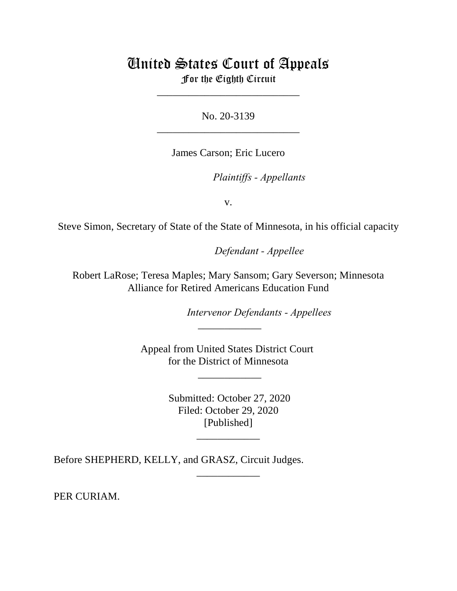# United States Court of Appeals For the Eighth Circuit

\_\_\_\_\_\_\_\_\_\_\_\_\_\_\_\_\_\_\_\_\_\_\_\_\_\_\_

No. 20-3139 \_\_\_\_\_\_\_\_\_\_\_\_\_\_\_\_\_\_\_\_\_\_\_\_\_\_\_

James Carson; Eric Lucero

*Plaintiffs - Appellants* 

v.

Steve Simon, Secretary of State of the State of Minnesota, in his official capacity

Defendant - Appellee

Robert LaRose; Teresa Maples; Mary Sansom; Gary Severson; Minnesota Alliance for Retired Americans Education Fund

Intervenor *Defendants - Appellees* 

Appeal from United States District Court for the District of Minnesota

\_\_\_\_\_\_\_\_\_\_\_\_

 $\overline{\phantom{a}}$ 

 Submitted: October 27, 2020 Filed: October 29, 2020 [Published]

\_\_\_\_\_\_\_\_\_\_\_\_

\_\_\_\_\_\_\_\_\_\_\_\_

Before SHEPHERD, KELLY, and GRASZ, Circuit Judges.

PER CURIAM.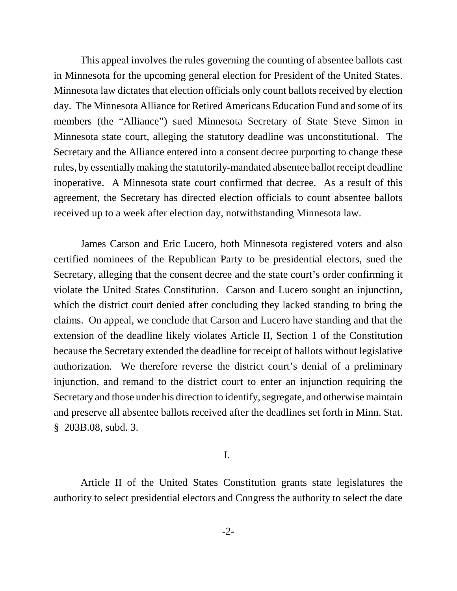This appeal involves the rules governing the counting of absentee ballots cast in Minnesota for the upcoming general election for President of the United States. Minnesota law dictates that election officials only count ballots received by election day. The Minnesota Alliance for Retired Americans Education Fund and some of its members (the "Alliance") sued Minnesota Secretary of State Steve Simon in Minnesota state court, alleging the statutory deadline was unconstitutional. The Secretary and the Alliance entered into a consent decree purporting to change these rules, by essentially making the statutorily-mandated absentee ballot receipt deadline inoperative. A Minnesota state court confirmed that decree. As a result of this agreement, the Secretary has directed election officials to count absentee ballots received up to a week after election day, notwithstanding Minnesota law.

James Carson and Eric Lucero, both Minnesota registered voters and also certified nominees of the Republican Party to be presidential electors, sued the Secretary, alleging that the consent decree and the state court's order confirming it violate the United States Constitution. Carson and Lucero sought an injunction, which the district court denied after concluding they lacked standing to bring the claims. On appeal, we conclude that Carson and Lucero have standing and that the extension of the deadline likely violates Article II, Section 1 of the Constitution because the Secretary extended the deadline for receipt of ballots without legislative authorization. We therefore reverse the district court's denial of a preliminary injunction, and remand to the district court to enter an injunction requiring the Secretary and those under his direction to identify, segregate, and otherwise maintain and preserve all absentee ballots received after the deadlines set forth in Minn. Stat. § 203B.08, subd. 3.

I.

Article II of the United States Constitution grants state legislatures the authority to select presidential electors and Congress the authority to select the date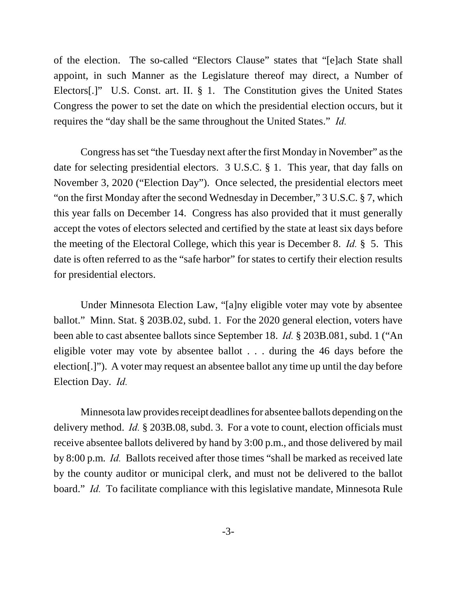of the election. The so-called "Electors Clause" states that "[e]ach State shall appoint, in such Manner as the Legislature thereof may direct, a Number of Electors[.]" U.S. Const. art. II. § 1. The Constitution gives the United States Congress the power to set the date on which the presidential election occurs, but it requires the "day shall be the same throughout the United States." *Id.* 

Congress has set "the Tuesday next after the first Monday in November" as the date for selecting presidential electors. 3 U.S.C. § 1. This year, that day falls on November 3, 2020 ("Election Day"). Once selected, the presidential electors meet "on the first Monday after the second Wednesday in December," 3 U.S.C. § 7, which this year falls on December 14. Congress has also provided that it must generally accept the votes of electors selected and certified by the state at least six days before the meeting of the Electoral College, which this year is December 8. *Id.* § 5. This date is often referred to as the "safe harbor" for states to certify their election results for presidential electors.

Under Minnesota Election Law, "[a]ny eligible voter may vote by absentee ballot." Minn. Stat. § 203B.02, subd. 1. For the 2020 general election, voters have been able to cast absentee ballots since September 18. *Id.* § 203B.081, subd. 1 ("An eligible voter may vote by absentee ballot . . . during the 46 days before the election[.]"). A voter may request an absentee ballot any time up until the day before Election Day. *Id.*

Minnesota law provides receipt deadlines for absentee ballots depending on the delivery method. *Id.* § 203B.08, subd. 3. For a vote to count, election officials must receive absentee ballots delivered by hand by 3:00 p.m., and those delivered by mail by 8:00 p.m. *Id.* Ballots received after those times "shall be marked as received late by the county auditor or municipal clerk, and must not be delivered to the ballot board." *Id.* To facilitate compliance with this legislative mandate, Minnesota Rule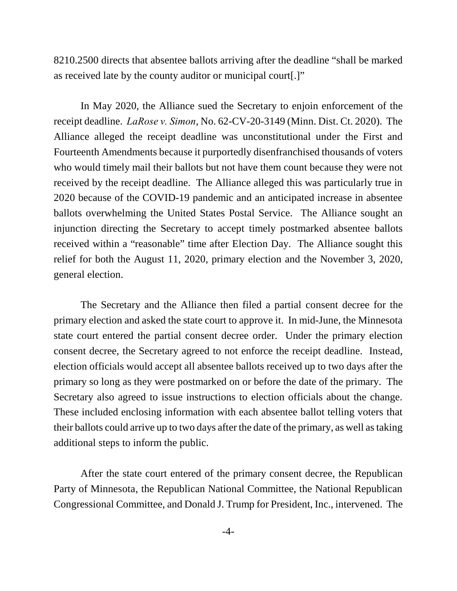8210.2500 directs that absentee ballots arriving after the deadline "shall be marked as received late by the county auditor or municipal court[.]"

In May 2020, the Alliance sued the Secretary to enjoin enforcement of the receipt deadline. *LaRose v. Simon*, No. 62-CV-20-3149 (Minn. Dist. Ct. 2020). The Alliance alleged the receipt deadline was unconstitutional under the First and Fourteenth Amendments because it purportedly disenfranchised thousands of voters who would timely mail their ballots but not have them count because they were not received by the receipt deadline. The Alliance alleged this was particularly true in 2020 because of the COVID-19 pandemic and an anticipated increase in absentee ballots overwhelming the United States Postal Service. The Alliance sought an injunction directing the Secretary to accept timely postmarked absentee ballots received within a "reasonable" time after Election Day. The Alliance sought this relief for both the August 11, 2020, primary election and the November 3, 2020, general election.

The Secretary and the Alliance then filed a partial consent decree for the primary election and asked the state court to approve it. In mid-June, the Minnesota state court entered the partial consent decree order. Under the primary election consent decree, the Secretary agreed to not enforce the receipt deadline. Instead, election officials would accept all absentee ballots received up to two days after the primary so long as they were postmarked on or before the date of the primary. The Secretary also agreed to issue instructions to election officials about the change. These included enclosing information with each absentee ballot telling voters that their ballots could arrive up to two days after the date of the primary, as well as taking additional steps to inform the public.

After the state court entered of the primary consent decree, the Republican Party of Minnesota, the Republican National Committee, the National Republican Congressional Committee, and Donald J. Trump for President, Inc., intervened. The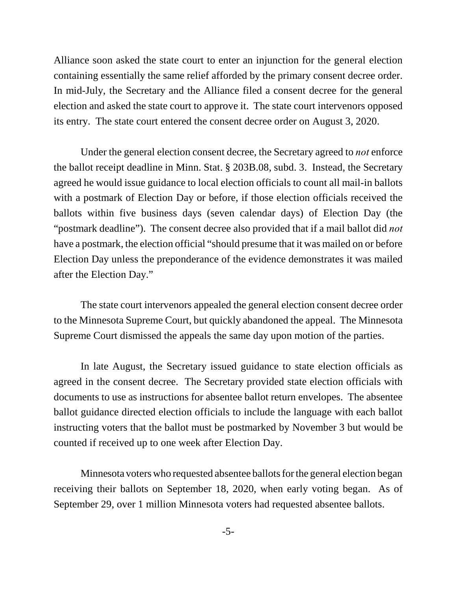Alliance soon asked the state court to enter an injunction for the general election containing essentially the same relief afforded by the primary consent decree order. In mid-July, the Secretary and the Alliance filed a consent decree for the general election and asked the state court to approve it. The state court intervenors opposed its entry. The state court entered the consent decree order on August 3, 2020.

Under the general election consent decree, the Secretary agreed to *not* enforce the ballot receipt deadline in Minn. Stat. § 203B.08, subd. 3. Instead, the Secretary agreed he would issue guidance to local election officials to count all mail-in ballots with a postmark of Election Day or before, if those election officials received the ballots within five business days (seven calendar days) of Election Day (the "postmark deadline"). The consent decree also provided that if a mail ballot did *not* have a postmark, the election official "should presume that it was mailed on or before Election Day unless the preponderance of the evidence demonstrates it was mailed after the Election Day."

The state court intervenors appealed the general election consent decree order to the Minnesota Supreme Court, but quickly abandoned the appeal. The Minnesota Supreme Court dismissed the appeals the same day upon motion of the parties.

In late August, the Secretary issued guidance to state election officials as agreed in the consent decree. The Secretary provided state election officials with documents to use as instructions for absentee ballot return envelopes. The absentee ballot guidance directed election officials to include the language with each ballot instructing voters that the ballot must be postmarked by November 3 but would be counted if received up to one week after Election Day.

Minnesota voters who requested absentee ballots for the general election began receiving their ballots on September 18, 2020, when early voting began. As of September 29, over 1 million Minnesota voters had requested absentee ballots.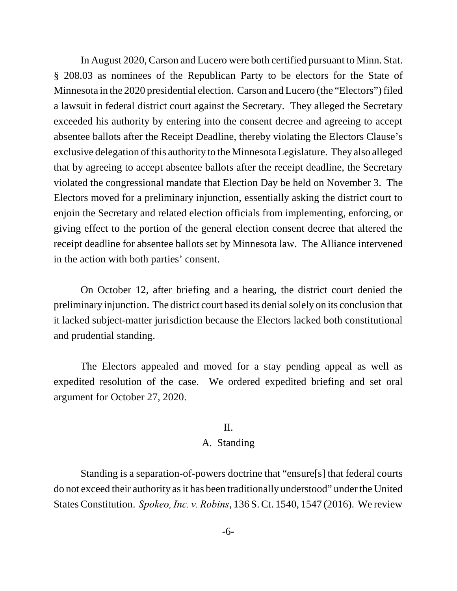In August 2020, Carson and Lucero were both certified pursuant to Minn. Stat. § 208.03 as nominees of the Republican Party to be electors for the State of Minnesota in the 2020 presidential election. Carson and Lucero (the "Electors") filed a lawsuit in federal district court against the Secretary. They alleged the Secretary exceeded his authority by entering into the consent decree and agreeing to accept absentee ballots after the Receipt Deadline, thereby violating the Electors Clause's exclusive delegation of this authority to the Minnesota Legislature. They also alleged that by agreeing to accept absentee ballots after the receipt deadline, the Secretary violated the congressional mandate that Election Day be held on November 3. The Electors moved for a preliminary injunction, essentially asking the district court to enjoin the Secretary and related election officials from implementing, enforcing, or giving effect to the portion of the general election consent decree that altered the receipt deadline for absentee ballots set by Minnesota law. The Alliance intervened in the action with both parties' consent.

On October 12, after briefing and a hearing, the district court denied the preliminary injunction. The district court based its denial solely on its conclusion that it lacked subject-matter jurisdiction because the Electors lacked both constitutional and prudential standing.

The Electors appealed and moved for a stay pending appeal as well as expedited resolution of the case. We ordered expedited briefing and set oral argument for October 27, 2020.

#### II.

### A. Standing

Standing is a separation-of-powers doctrine that "ensure[s] that federal courts do not exceed their authority as it has been traditionally understood" under the United States Constitution. *Spokeo, Inc. v. Robins*, 136 S. Ct. 1540, 1547 (2016). We review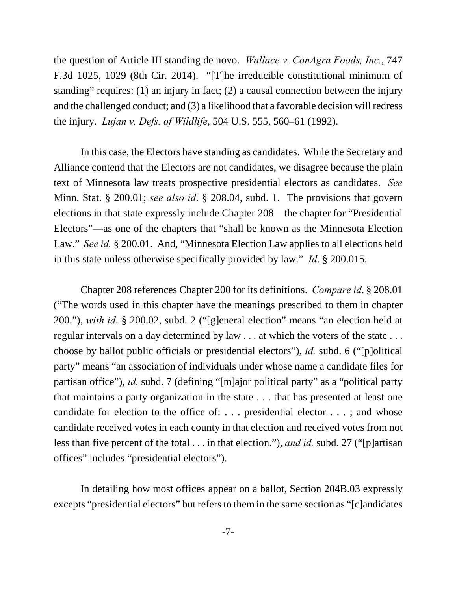the question of Article III standing de novo. *Wallace v. ConAgra Foods, Inc.*, 747 F.3d 1025, 1029 (8th Cir. 2014). "[T]he irreducible constitutional minimum of standing" requires: (1) an injury in fact; (2) a causal connection between the injury and the challenged conduct; and (3) a likelihood that a favorable decision will redress the injury. *Lujan v. Defs. of Wildlife*, 504 U.S. 555, 560–61 (1992).

In this case, the Electors have standing as candidates. While the Secretary and Alliance contend that the Electors are not candidates, we disagree because the plain text of Minnesota law treats prospective presidential electors as candidates. *See* Minn. Stat. § 200.01; *see also id*. § 208.04, subd. 1. The provisions that govern elections in that state expressly include Chapter 208—the chapter for "Presidential Electors"—as one of the chapters that "shall be known as the Minnesota Election Law." *See id.* § 200.01. And, "Minnesota Election Law applies to all elections held in this state unless otherwise specifically provided by law." *Id*. § 200.015.

Chapter 208 references Chapter 200 for its definitions. *Compare id*. § 208.01 ("The words used in this chapter have the meanings prescribed to them in chapter 200."), *with id*. § 200.02, subd. 2 ("[g]eneral election" means "an election held at regular intervals on a day determined by law . . . at which the voters of the state . . . choose by ballot public officials or presidential electors"), *id.* subd. 6 ("[p]olitical party" means "an association of individuals under whose name a candidate files for partisan office"), *id.* subd. 7 (defining "[m]ajor political party" as a "political party that maintains a party organization in the state . . . that has presented at least one candidate for election to the office of: . . . presidential elector . . . ; and whose candidate received votes in each county in that election and received votes from not less than five percent of the total . . . in that election."), *and id.* subd. 27 ("[p]artisan offices" includes "presidential electors").

In detailing how most offices appear on a ballot, Section 204B.03 expressly excepts "presidential electors" but refers to them in the same section as "[c]andidates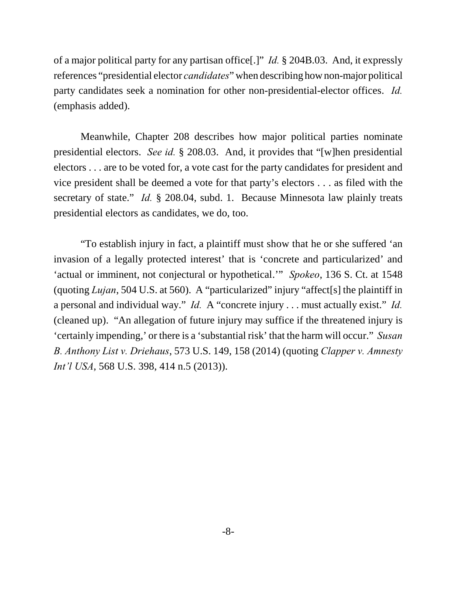of a major political party for any partisan office[.]" *Id.* § 204B.03. And, it expressly references "presidential elector *candidates*" when describing how non-major political party candidates seek a nomination for other non-presidential-elector offices. *Id.* (emphasis added).

Meanwhile, Chapter 208 describes how major political parties nominate presidential electors. *See id.* § 208.03. And, it provides that "[w]hen presidential electors . . . are to be voted for, a vote cast for the party candidates for president and vice president shall be deemed a vote for that party's electors . . . as filed with the secretary of state." *Id.* § 208.04, subd. 1. Because Minnesota law plainly treats presidential electors as candidates, we do, too.

"To establish injury in fact, a plaintiff must show that he or she suffered 'an invasion of a legally protected interest' that is 'concrete and particularized' and 'actual or imminent, not conjectural or hypothetical.'" *Spokeo*, 136 S. Ct. at 1548 (quoting *Lujan*, 504 U.S. at 560). A "particularized" injury "affect[s] the plaintiff in a personal and individual way." *Id.* A "concrete injury . . . must actually exist." *Id.* (cleaned up). "An allegation of future injury may suffice if the threatened injury is 'certainly impending,' or there is a 'substantial risk' that the harm will occur." *Susan B. Anthony List v. Driehaus*, 573 U.S. 149, 158 (2014) (quoting *Clapper v. Amnesty Int'l USA*, 568 U.S. 398, 414 n.5 (2013)).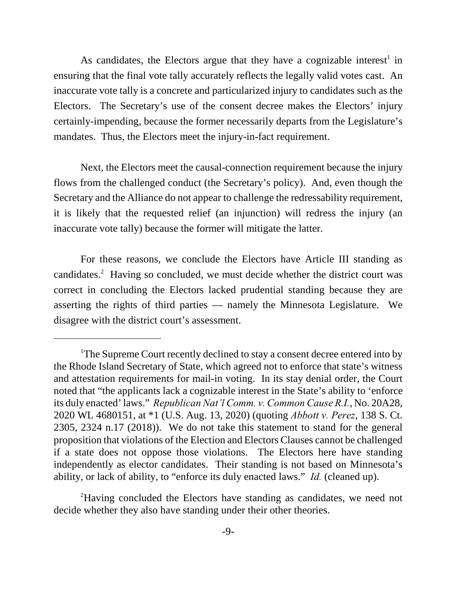As candidates, the Electors argue that they have a cognizable interest<sup>1</sup> in ensuring that the final vote tally accurately reflects the legally valid votes cast. An inaccurate vote tally is a concrete and particularized injury to candidates such as the Electors. The Secretary's use of the consent decree makes the Electors' injury certainly-impending, because the former necessarily departs from the Legislature's mandates. Thus, the Electors meet the injury-in-fact requirement.

Next, the Electors meet the causal-connection requirement because the injury flows from the challenged conduct (the Secretary's policy). And, even though the Secretary and the Alliance do not appear to challenge the redressability requirement, it is likely that the requested relief (an injunction) will redress the injury (an inaccurate vote tally) because the former will mitigate the latter.

For these reasons, we conclude the Electors have Article III standing as candidates.<sup>2</sup> Having so concluded, we must decide whether the district court was correct in concluding the Electors lacked prudential standing because they are asserting the rights of third parties — namely the Minnesota Legislature. We disagree with the district court's assessment.

<sup>&</sup>lt;sup>1</sup>The Supreme Court recently declined to stay a consent decree entered into by the Rhode Island Secretary of State, which agreed not to enforce that state's witness and attestation requirements for mail-in voting. In its stay denial order, the Court noted that "the applicants lack a cognizable interest in the State's ability to 'enforce its duly enacted' laws." *Republican Nat'l Comm. v. Common Cause R.I.*, No. 20A28, 2020 WL 4680151, at \*1 (U.S. Aug. 13, 2020) (quoting *Abbott v. Perez*, 138 S. Ct. 2305, 2324 n.17 (2018)). We do not take this statement to stand for the general proposition that violations of the Election and Electors Clauses cannot be challenged if a state does not oppose those violations. The Electors here have standing independently as elector candidates. Their standing is not based on Minnesota's ability, or lack of ability, to "enforce its duly enacted laws." *Id.* (cleaned up).

<sup>&</sup>lt;sup>2</sup>Having concluded the Electors have standing as candidates, we need not decide whether they also have standing under their other theories.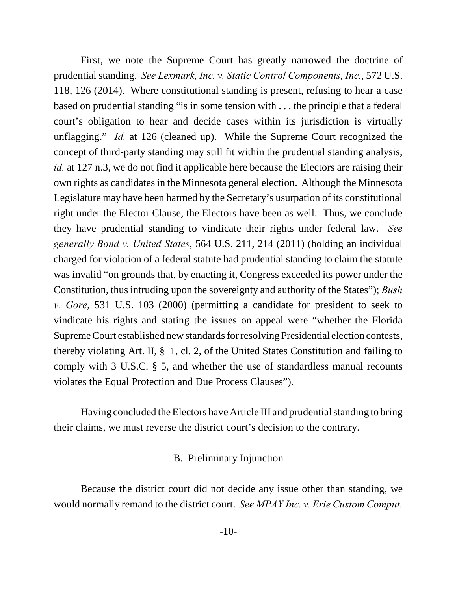First, we note the Supreme Court has greatly narrowed the doctrine of prudential standing. *See Lexmark, Inc. v. Static Control Components, Inc.*, 572 U.S. 118, 126 (2014). Where constitutional standing is present, refusing to hear a case based on prudential standing "is in some tension with . . . the principle that a federal court's obligation to hear and decide cases within its jurisdiction is virtually unflagging." *Id.* at 126 (cleaned up). While the Supreme Court recognized the concept of third-party standing may still fit within the prudential standing analysis, *id.* at 127 n.3, we do not find it applicable here because the Electors are raising their own rights as candidates in the Minnesota general election. Although the Minnesota Legislature may have been harmed by the Secretary's usurpation of its constitutional right under the Elector Clause, the Electors have been as well. Thus, we conclude they have prudential standing to vindicate their rights under federal law. *See generally Bond v. United States*, 564 U.S. 211, 214 (2011) (holding an individual charged for violation of a federal statute had prudential standing to claim the statute was invalid "on grounds that, by enacting it, Congress exceeded its power under the Constitution, thus intruding upon the sovereignty and authority of the States"); *Bush v. Gore*, 531 U.S. 103 (2000) (permitting a candidate for president to seek to vindicate his rights and stating the issues on appeal were "whether the Florida Supreme Court established new standards for resolving Presidential election contests, thereby violating Art. II, § 1, cl. 2, of the United States Constitution and failing to comply with 3 U.S.C. § 5, and whether the use of standardless manual recounts violates the Equal Protection and Due Process Clauses").

Having concluded the Electors have Article III and prudential standing to bring their claims, we must reverse the district court's decision to the contrary.

#### B. Preliminary Injunction

Because the district court did not decide any issue other than standing, we would normally remand to the district court. *See MPAY Inc. v. Erie Custom Comput.*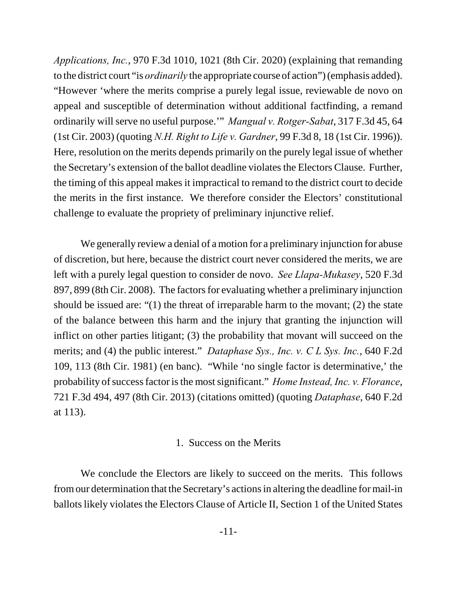*Applications, Inc.*, 970 F.3d 1010, 1021 (8th Cir. 2020) (explaining that remanding to the district court "is *ordinarily* the appropriate course of action") (emphasis added). "However 'where the merits comprise a purely legal issue, reviewable de novo on appeal and susceptible of determination without additional factfinding, a remand ordinarily will serve no useful purpose.'" *Mangual v. Rotger-Sabat*, 317 F.3d 45, 64 (1st Cir. 2003) (quoting *N.H. Right to Life v. Gardner*, 99 F.3d 8, 18 (1st Cir. 1996)). Here, resolution on the merits depends primarily on the purely legal issue of whether the Secretary's extension of the ballot deadline violates the Electors Clause. Further, the timing of this appeal makes it impractical to remand to the district court to decide the merits in the first instance. We therefore consider the Electors' constitutional challenge to evaluate the propriety of preliminary injunctive relief.

We generally review a denial of a motion for a preliminary injunction for abuse of discretion, but here, because the district court never considered the merits, we are left with a purely legal question to consider de novo. *See Llapa-Mukasey*, 520 F.3d 897, 899 (8th Cir. 2008). The factors for evaluating whether a preliminary injunction should be issued are: "(1) the threat of irreparable harm to the movant; (2) the state of the balance between this harm and the injury that granting the injunction will inflict on other parties litigant; (3) the probability that movant will succeed on the merits; and (4) the public interest." *Dataphase Sys., Inc. v. C L Sys. Inc.*, 640 F.2d 109, 113 (8th Cir. 1981) (en banc). "While 'no single factor is determinative,' the probability of success factor is the most significant." *Home Instead, Inc. v. Florance*, 721 F.3d 494, 497 (8th Cir. 2013) (citations omitted) (quoting *Dataphase*, 640 F.2d at 113).

# 1. Success on the Merits

We conclude the Electors are likely to succeed on the merits. This follows from our determination that the Secretary's actions in altering the deadline for mail-in ballots likely violates the Electors Clause of Article II, Section 1 of the United States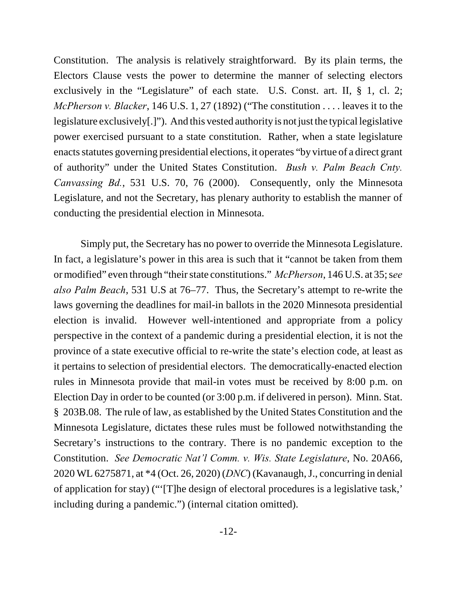Constitution. The analysis is relatively straightforward. By its plain terms, the Electors Clause vests the power to determine the manner of selecting electors exclusively in the "Legislature" of each state. U.S. Const. art. II, § 1, cl. 2; *McPherson v. Blacker*, 146 U.S. 1, 27 (1892) ("The constitution . . . . leaves it to the legislature exclusively[.]"). And this vested authority is not just the typical legislative power exercised pursuant to a state constitution. Rather, when a state legislature enacts statutes governing presidential elections, it operates "by virtue of a direct grant of authority" under the United States Constitution. *Bush v. Palm Beach Cnty. Canvassing Bd.*, 531 U.S. 70, 76 (2000). Consequently, only the Minnesota Legislature, and not the Secretary, has plenary authority to establish the manner of conducting the presidential election in Minnesota.

Simply put, the Secretary has no power to override the Minnesota Legislature. In fact, a legislature's power in this area is such that it "cannot be taken from them or modified" even through "their state constitutions." *McPherson*, 146 U.S. at 35; s*ee also Palm Beach*, 531 U.S at 76–77. Thus, the Secretary's attempt to re-write the laws governing the deadlines for mail-in ballots in the 2020 Minnesota presidential election is invalid. However well-intentioned and appropriate from a policy perspective in the context of a pandemic during a presidential election, it is not the province of a state executive official to re-write the state's election code, at least as it pertains to selection of presidential electors. The democratically-enacted election rules in Minnesota provide that mail-in votes must be received by 8:00 p.m. on Election Day in order to be counted (or 3:00 p.m. if delivered in person). Minn. Stat. § 203B.08. The rule of law, as established by the United States Constitution and the Minnesota Legislature, dictates these rules must be followed notwithstanding the Secretary's instructions to the contrary. There is no pandemic exception to the Constitution. *See Democratic Nat'l Comm. v. Wis. State Legislature*, No. 20A66, 2020 WL 6275871, at \*4 (Oct. 26, 2020) (*DNC*) (Kavanaugh, J., concurring in denial of application for stay) ("'[T]he design of electoral procedures is a legislative task,' including during a pandemic.") (internal citation omitted).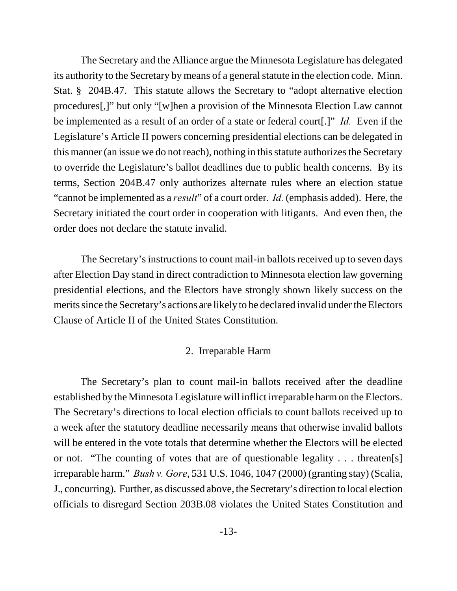The Secretary and the Alliance argue the Minnesota Legislature has delegated its authority to the Secretary by means of a general statute in the election code. Minn. Stat. § 204B.47. This statute allows the Secretary to "adopt alternative election procedures[,]" but only "[w]hen a provision of the Minnesota Election Law cannot be implemented as a result of an order of a state or federal court[.]" *Id.* Even if the Legislature's Article II powers concerning presidential elections can be delegated in this manner (an issue we do not reach), nothing in this statute authorizes the Secretary to override the Legislature's ballot deadlines due to public health concerns. By its terms, Section 204B.47 only authorizes alternate rules where an election statue "cannot be implemented as a *result*" of a court order. *Id.* (emphasis added). Here, the Secretary initiated the court order in cooperation with litigants. And even then, the order does not declare the statute invalid.

The Secretary's instructions to count mail-in ballots received up to seven days after Election Day stand in direct contradiction to Minnesota election law governing presidential elections, and the Electors have strongly shown likely success on the merits since the Secretary's actions are likely to be declared invalid under the Electors Clause of Article II of the United States Constitution.

# 2. Irreparable Harm

The Secretary's plan to count mail-in ballots received after the deadline established by the Minnesota Legislature will inflict irreparable harm on the Electors. The Secretary's directions to local election officials to count ballots received up to a week after the statutory deadline necessarily means that otherwise invalid ballots will be entered in the vote totals that determine whether the Electors will be elected or not. "The counting of votes that are of questionable legality . . . threaten[s] irreparable harm." *Bush v. Gore*, 531 U.S. 1046, 1047 (2000) (granting stay) (Scalia, J., concurring). Further, as discussed above, the Secretary's direction to local election officials to disregard Section 203B.08 violates the United States Constitution and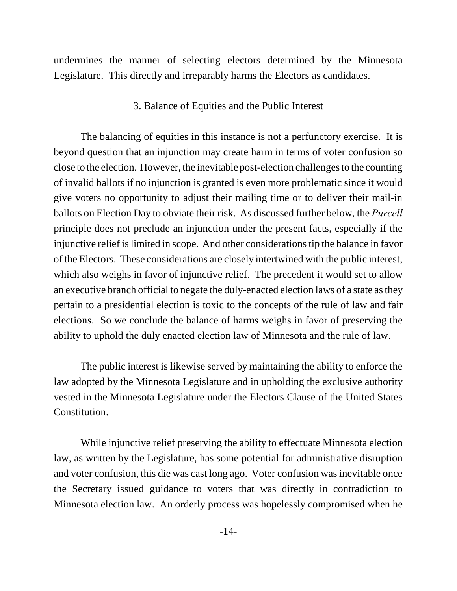undermines the manner of selecting electors determined by the Minnesota Legislature. This directly and irreparably harms the Electors as candidates.

### 3. Balance of Equities and the Public Interest

The balancing of equities in this instance is not a perfunctory exercise. It is beyond question that an injunction may create harm in terms of voter confusion so close to the election. However, the inevitable post-election challenges to the counting of invalid ballots if no injunction is granted is even more problematic since it would give voters no opportunity to adjust their mailing time or to deliver their mail-in ballots on Election Day to obviate their risk. As discussed further below, the *Purcell* principle does not preclude an injunction under the present facts, especially if the injunctive relief is limited in scope. And other considerations tip the balance in favor of the Electors. These considerations are closely intertwined with the public interest, which also weighs in favor of injunctive relief. The precedent it would set to allow an executive branch official to negate the duly-enacted election laws of a state as they pertain to a presidential election is toxic to the concepts of the rule of law and fair elections. So we conclude the balance of harms weighs in favor of preserving the ability to uphold the duly enacted election law of Minnesota and the rule of law.

The public interest is likewise served by maintaining the ability to enforce the law adopted by the Minnesota Legislature and in upholding the exclusive authority vested in the Minnesota Legislature under the Electors Clause of the United States Constitution.

While injunctive relief preserving the ability to effectuate Minnesota election law, as written by the Legislature, has some potential for administrative disruption and voter confusion, this die was cast long ago. Voter confusion was inevitable once the Secretary issued guidance to voters that was directly in contradiction to Minnesota election law. An orderly process was hopelessly compromised when he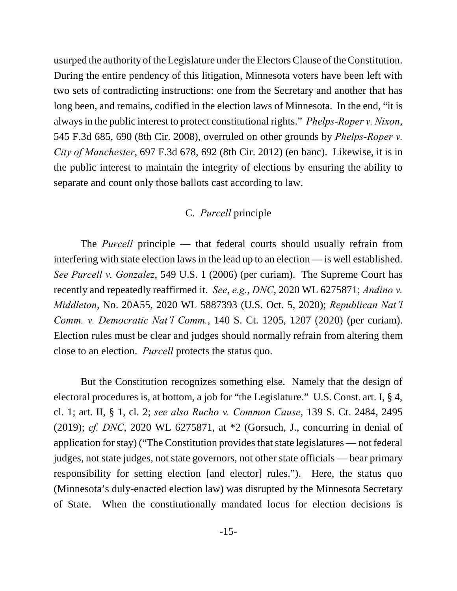usurped the authority of the Legislature under the Electors Clause of the Constitution. During the entire pendency of this litigation, Minnesota voters have been left with two sets of contradicting instructions: one from the Secretary and another that has long been, and remains, codified in the election laws of Minnesota. In the end, "it is always in the public interest to protect constitutional rights." *Phelps-Roper v. Nixon*, 545 F.3d 685, 690 (8th Cir. 2008), overruled on other grounds by *Phelps-Roper v. City of Manchester*, 697 F.3d 678, 692 (8th Cir. 2012) (en banc). Likewise, it is in the public interest to maintain the integrity of elections by ensuring the ability to separate and count only those ballots cast according to law.

# C. *Purcell* principle

The *Purcell* principle — that federal courts should usually refrain from interfering with state election laws in the lead up to an election — is well established. *See Purcell v. Gonzalez*, 549 U.S. 1 (2006) (per curiam). The Supreme Court has recently and repeatedly reaffirmed it. *See*, *e.g.*, *DNC*, 2020 WL 6275871; *Andino v. Middleton*, No. 20A55, 2020 WL 5887393 (U.S. Oct. 5, 2020); *Republican Nat'l Comm. v. Democratic Nat'l Comm.*, 140 S. Ct. 1205, 1207 (2020) (per curiam). Election rules must be clear and judges should normally refrain from altering them close to an election. *Purcell* protects the status quo.

But the Constitution recognizes something else. Namely that the design of electoral procedures is, at bottom, a job for "the Legislature." U.S. Const. art. I, § 4, cl. 1; art. II, § 1, cl. 2; *see also Rucho v. Common Cause*, 139 S. Ct. 2484, 2495 (2019); *cf. DNC*, 2020 WL 6275871, at \*2 (Gorsuch, J., concurring in denial of application for stay) ("The Constitution provides that state legislatures — not federal judges, not state judges, not state governors, not other state officials — bear primary responsibility for setting election [and elector] rules."). Here, the status quo (Minnesota's duly-enacted election law) was disrupted by the Minnesota Secretary of State. When the constitutionally mandated locus for election decisions is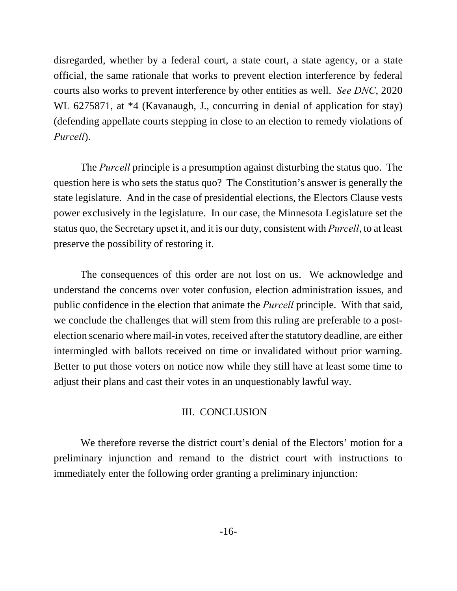disregarded, whether by a federal court, a state court, a state agency, or a state official, the same rationale that works to prevent election interference by federal courts also works to prevent interference by other entities as well. *See DNC*, 2020 WL 6275871, at  $*4$  (Kavanaugh, J., concurring in denial of application for stay) (defending appellate courts stepping in close to an election to remedy violations of *Purcell*).

The *Purcell* principle is a presumption against disturbing the status quo. The question here is who sets the status quo? The Constitution's answer is generally the state legislature. And in the case of presidential elections, the Electors Clause vests power exclusively in the legislature. In our case, the Minnesota Legislature set the status quo, the Secretary upset it, and it is our duty, consistent with *Purcell*, to at least preserve the possibility of restoring it.

The consequences of this order are not lost on us. We acknowledge and understand the concerns over voter confusion, election administration issues, and public confidence in the election that animate the *Purcell* principle. With that said, we conclude the challenges that will stem from this ruling are preferable to a postelection scenario where mail-in votes, received after the statutory deadline, are either intermingled with ballots received on time or invalidated without prior warning. Better to put those voters on notice now while they still have at least some time to adjust their plans and cast their votes in an unquestionably lawful way.

#### III. CONCLUSION

We therefore reverse the district court's denial of the Electors' motion for a preliminary injunction and remand to the district court with instructions to immediately enter the following order granting a preliminary injunction: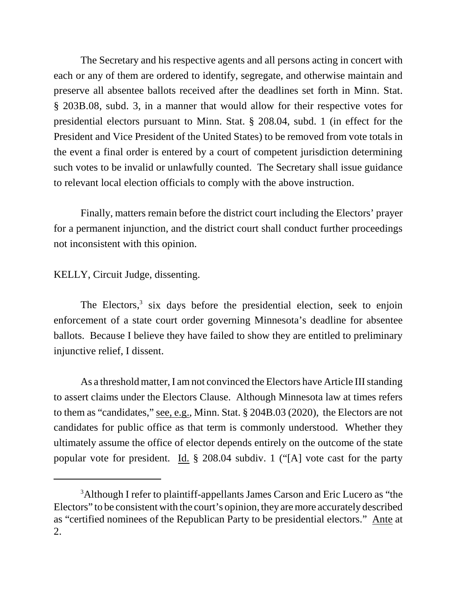The Secretary and his respective agents and all persons acting in concert with each or any of them are ordered to identify, segregate, and otherwise maintain and preserve all absentee ballots received after the deadlines set forth in Minn. Stat. § 203B.08, subd. 3, in a manner that would allow for their respective votes for presidential electors pursuant to Minn. Stat. § 208.04, subd. 1 (in effect for the President and Vice President of the United States) to be removed from vote totals in the event a final order is entered by a court of competent jurisdiction determining such votes to be invalid or unlawfully counted. The Secretary shall issue guidance to relevant local election officials to comply with the above instruction.

Finally, matters remain before the district court including the Electors' prayer for a permanent injunction, and the district court shall conduct further proceedings not inconsistent with this opinion.

KELLY, Circuit Judge, dissenting.

The Electors,<sup>3</sup> six days before the presidential election, seek to enjoin enforcement of a state court order governing Minnesota's deadline for absentee ballots. Because I believe they have failed to show they are entitled to preliminary injunctive relief, I dissent.

As a threshold matter, I am not convinced the Electors have Article III standing to assert claims under the Electors Clause. Although Minnesota law at times refers to them as "candidates," see, e.g., Minn. Stat. § 204B.03 (2020), the Electors are not candidates for public office as that term is commonly understood. Whether they ultimately assume the office of elector depends entirely on the outcome of the state popular vote for president. Id. § 208.04 subdiv. 1 ("[A] vote cast for the party

<sup>&</sup>lt;sup>3</sup>Although I refer to plaintiff-appellants James Carson and Eric Lucero as "the Electors" to be consistent with the court's opinion, they are more accurately described as "certified nominees of the Republican Party to be presidential electors." Ante at 2.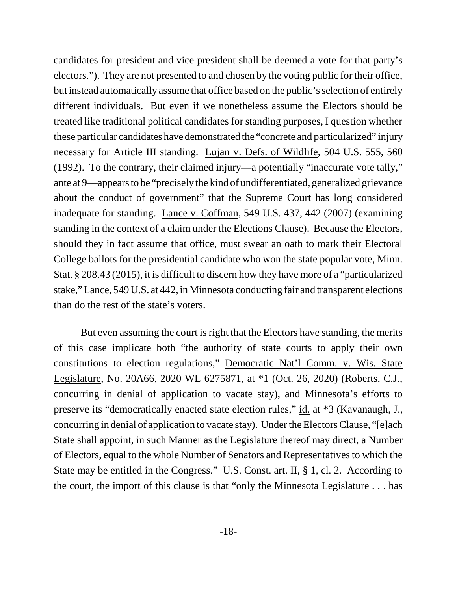candidates for president and vice president shall be deemed a vote for that party's electors."). They are not presented to and chosen by the voting public for their office, but instead automatically assume that office based on the public's selection of entirely different individuals. But even if we nonetheless assume the Electors should be treated like traditional political candidates for standing purposes, I question whether these particular candidates have demonstrated the "concrete and particularized" injury necessary for Article III standing. Lujan v. Defs. of Wildlife, 504 U.S. 555, 560 (1992). To the contrary, their claimed injury—a potentially "inaccurate vote tally," ante at 9—appears to be "precisely the kind of undifferentiated, generalized grievance about the conduct of government" that the Supreme Court has long considered inadequate for standing. Lance v. Coffman, 549 U.S. 437, 442 (2007) (examining standing in the context of a claim under the Elections Clause). Because the Electors, should they in fact assume that office, must swear an oath to mark their Electoral College ballots for the presidential candidate who won the state popular vote, Minn. Stat. § 208.43 (2015), it is difficult to discern how they have more of a "particularized stake," Lance, 549 U.S. at 442, in Minnesota conducting fair and transparent elections than do the rest of the state's voters.

But even assuming the court is right that the Electors have standing, the merits of this case implicate both "the authority of state courts to apply their own constitutions to election regulations," Democratic Nat'l Comm. v. Wis. State Legislature, No. 20A66, 2020 WL 6275871, at \*1 (Oct. 26, 2020) (Roberts, C.J., concurring in denial of application to vacate stay), and Minnesota's efforts to preserve its "democratically enacted state election rules," id. at \*3 (Kavanaugh, J., concurring in denial of application to vacate stay). Under the Electors Clause, "[e]ach State shall appoint, in such Manner as the Legislature thereof may direct, a Number of Electors, equal to the whole Number of Senators and Representatives to which the State may be entitled in the Congress." U.S. Const. art. II, § 1, cl. 2. According to the court, the import of this clause is that "only the Minnesota Legislature . . . has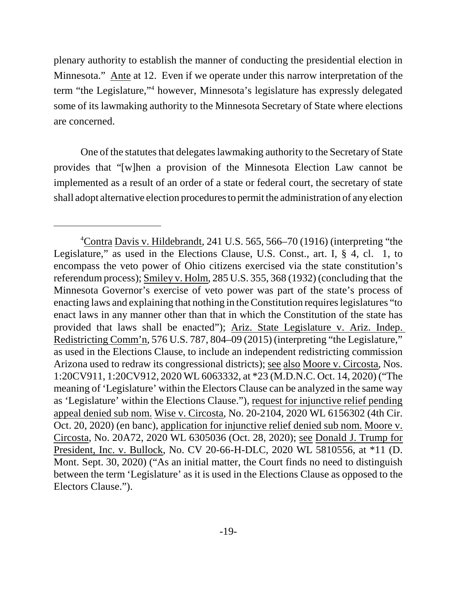plenary authority to establish the manner of conducting the presidential election in Minnesota." Ante at 12. Even if we operate under this narrow interpretation of the term "the Legislature,"<sup>4</sup> however, Minnesota's legislature has expressly delegated some of its lawmaking authority to the Minnesota Secretary of State where elections are concerned.

One of the statutes that delegates lawmaking authority to the Secretary of State provides that "[w]hen a provision of the Minnesota Election Law cannot be implemented as a result of an order of a state or federal court, the secretary of state shall adopt alternative election procedures to permit the administration of any election

<sup>4</sup>Contra Davis v. Hildebrandt, 241 U.S. 565, 566–70 (1916) (interpreting "the Legislature," as used in the Elections Clause, U.S. Const., art. I, § 4, cl. 1, to encompass the veto power of Ohio citizens exercised via the state constitution's referendum process); Smiley v. Holm, 285 U.S. 355, 368 (1932) (concluding that the Minnesota Governor's exercise of veto power was part of the state's process of enacting laws and explaining that nothing in the Constitution requires legislatures "to enact laws in any manner other than that in which the Constitution of the state has provided that laws shall be enacted"); Ariz. State Legislature v. Ariz. Indep. Redistricting Comm'n, 576 U.S. 787, 804–09 (2015) (interpreting "the Legislature," as used in the Elections Clause, to include an independent redistricting commission Arizona used to redraw its congressional districts); see also Moore v. Circosta, Nos. 1:20CV911, 1:20CV912, 2020 WL 6063332, at \*23 (M.D.N.C. Oct. 14, 2020) ("The meaning of 'Legislature' within the Electors Clause can be analyzed in the same way as 'Legislature' within the Elections Clause."), request for injunctive relief pending appeal denied sub nom. Wise v. Circosta, No. 20-2104, 2020 WL 6156302 (4th Cir. Oct. 20, 2020) (en banc), application for injunctive relief denied sub nom. Moore v. Circosta, No. 20A72, 2020 WL 6305036 (Oct. 28, 2020); see Donald J. Trump for President, Inc. v. Bullock, No. CV 20-66-H-DLC, 2020 WL 5810556, at \*11 (D. Mont. Sept. 30, 2020) ("As an initial matter, the Court finds no need to distinguish between the term 'Legislature' as it is used in the Elections Clause as opposed to the Electors Clause.").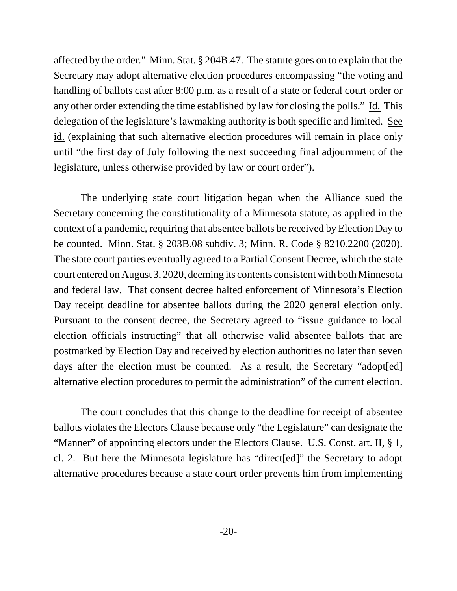affected by the order." Minn. Stat. § 204B.47. The statute goes on to explain that the Secretary may adopt alternative election procedures encompassing "the voting and handling of ballots cast after 8:00 p.m. as a result of a state or federal court order or any other order extending the time established by law for closing the polls." Id. This delegation of the legislature's lawmaking authority is both specific and limited. See id. (explaining that such alternative election procedures will remain in place only until "the first day of July following the next succeeding final adjournment of the legislature, unless otherwise provided by law or court order").

The underlying state court litigation began when the Alliance sued the Secretary concerning the constitutionality of a Minnesota statute, as applied in the context of a pandemic, requiring that absentee ballots be received by Election Day to be counted. Minn. Stat. § 203B.08 subdiv. 3; Minn. R. Code § 8210.2200 (2020). The state court parties eventually agreed to a Partial Consent Decree, which the state court entered on August 3, 2020, deeming its contents consistent with both Minnesota and federal law. That consent decree halted enforcement of Minnesota's Election Day receipt deadline for absentee ballots during the 2020 general election only. Pursuant to the consent decree, the Secretary agreed to "issue guidance to local election officials instructing" that all otherwise valid absentee ballots that are postmarked by Election Day and received by election authorities no later than seven days after the election must be counted. As a result, the Secretary "adopt[ed] alternative election procedures to permit the administration" of the current election.

The court concludes that this change to the deadline for receipt of absentee ballots violates the Electors Clause because only "the Legislature" can designate the "Manner" of appointing electors under the Electors Clause. U.S. Const. art. II, § 1, cl. 2. But here the Minnesota legislature has "direct[ed]" the Secretary to adopt alternative procedures because a state court order prevents him from implementing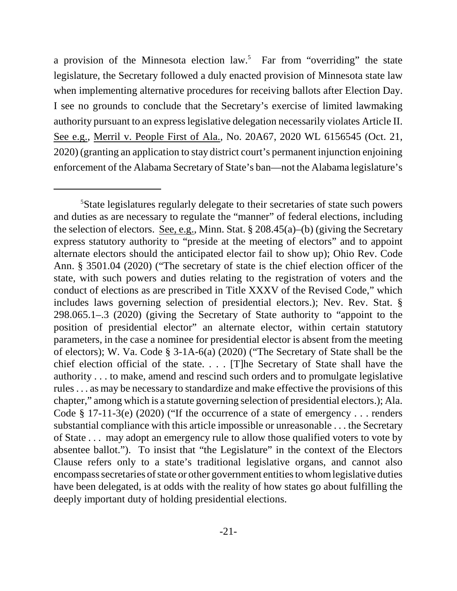a provision of the Minnesota election law.<sup>5</sup> Far from "overriding" the state legislature, the Secretary followed a duly enacted provision of Minnesota state law when implementing alternative procedures for receiving ballots after Election Day. I see no grounds to conclude that the Secretary's exercise of limited lawmaking authority pursuant to an express legislative delegation necessarily violates Article II. See e.g., Merril v. People First of Ala., No. 20A67, 2020 WL 6156545 (Oct. 21, 2020) (granting an application to stay district court's permanent injunction enjoining enforcement of the Alabama Secretary of State's ban—not the Alabama legislature's

<sup>5</sup>State legislatures regularly delegate to their secretaries of state such powers and duties as are necessary to regulate the "manner" of federal elections, including the selection of electors. See, e.g., Minn. Stat. § 208.45(a)–(b) (giving the Secretary express statutory authority to "preside at the meeting of electors" and to appoint alternate electors should the anticipated elector fail to show up); Ohio Rev. Code Ann. § 3501.04 (2020) ("The secretary of state is the chief election officer of the state, with such powers and duties relating to the registration of voters and the conduct of elections as are prescribed in Title XXXV of the Revised Code," which includes laws governing selection of presidential electors.); Nev. Rev. Stat. § 298.065.1–.3 (2020) (giving the Secretary of State authority to "appoint to the position of presidential elector" an alternate elector, within certain statutory parameters, in the case a nominee for presidential elector is absent from the meeting of electors); W. Va. Code § 3-1A-6(a) (2020) ("The Secretary of State shall be the chief election official of the state. . . . [T]he Secretary of State shall have the authority . . . to make, amend and rescind such orders and to promulgate legislative rules . . . as may be necessary to standardize and make effective the provisions of this chapter," among which is a statute governing selection of presidential electors.); Ala. Code  $\S$  17-11-3(e) (2020) ("If the occurrence of a state of emergency . . . renders substantial compliance with this article impossible or unreasonable . . . the Secretary of State . . . may adopt an emergency rule to allow those qualified voters to vote by absentee ballot."). To insist that "the Legislature" in the context of the Electors Clause refers only to a state's traditional legislative organs, and cannot also encompass secretaries of state or other government entities to whom legislative duties have been delegated, is at odds with the reality of how states go about fulfilling the deeply important duty of holding presidential elections.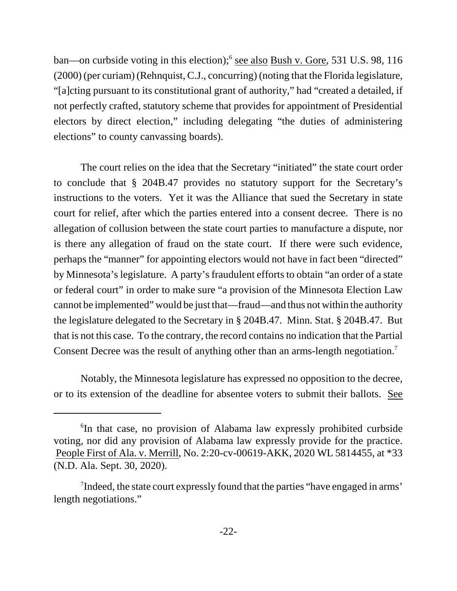ban—on curbside voting in this election);<sup>6</sup> see also Bush v. Gore, 531 U.S. 98, 116 (2000) (per curiam) (Rehnquist, C.J., concurring) (noting that the Florida legislature, "[a]cting pursuant to its constitutional grant of authority," had "created a detailed, if not perfectly crafted, statutory scheme that provides for appointment of Presidential electors by direct election," including delegating "the duties of administering elections" to county canvassing boards).

The court relies on the idea that the Secretary "initiated" the state court order to conclude that § 204B.47 provides no statutory support for the Secretary's instructions to the voters. Yet it was the Alliance that sued the Secretary in state court for relief, after which the parties entered into a consent decree. There is no allegation of collusion between the state court parties to manufacture a dispute, nor is there any allegation of fraud on the state court. If there were such evidence, perhaps the "manner" for appointing electors would not have in fact been "directed" by Minnesota's legislature. A party's fraudulent efforts to obtain "an order of a state or federal court" in order to make sure "a provision of the Minnesota Election Law cannot be implemented" would be just that—fraud—and thus not within the authority the legislature delegated to the Secretary in § 204B.47. Minn. Stat. § 204B.47. But that is not this case. To the contrary, the record contains no indication that the Partial Consent Decree was the result of anything other than an arms-length negotiation.<sup>7</sup>

Notably, the Minnesota legislature has expressed no opposition to the decree, or to its extension of the deadline for absentee voters to submit their ballots. See

<sup>6</sup> In that case, no provision of Alabama law expressly prohibited curbside voting, nor did any provision of Alabama law expressly provide for the practice. People First of Ala. v. Merrill, No. 2:20-cv-00619-AKK, 2020 WL 5814455, at \*33 (N.D. Ala. Sept. 30, 2020).

<sup>&</sup>lt;sup>7</sup>Indeed, the state court expressly found that the parties "have engaged in arms" length negotiations."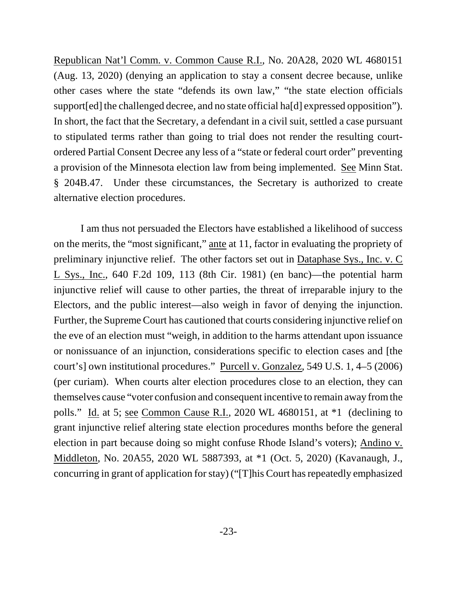Republican Nat'l Comm. v. Common Cause R.I., No. 20A28, 2020 WL 4680151 (Aug. 13, 2020) (denying an application to stay a consent decree because, unlike other cases where the state "defends its own law," "the state election officials support[ed] the challenged decree, and no state official ha[d] expressed opposition"). In short, the fact that the Secretary, a defendant in a civil suit, settled a case pursuant to stipulated terms rather than going to trial does not render the resulting courtordered Partial Consent Decree any less of a "state or federal court order" preventing a provision of the Minnesota election law from being implemented. See Minn Stat. § 204B.47. Under these circumstances, the Secretary is authorized to create alternative election procedures.

I am thus not persuaded the Electors have established a likelihood of success on the merits, the "most significant," ante at 11, factor in evaluating the propriety of preliminary injunctive relief. The other factors set out in Dataphase Sys., Inc. v. C L Sys., Inc., 640 F.2d 109, 113 (8th Cir. 1981) (en banc)—the potential harm injunctive relief will cause to other parties, the threat of irreparable injury to the Electors, and the public interest—also weigh in favor of denying the injunction. Further, the Supreme Court has cautioned that courts considering injunctive relief on the eve of an election must "weigh, in addition to the harms attendant upon issuance or nonissuance of an injunction, considerations specific to election cases and [the court's] own institutional procedures." Purcell v. Gonzalez, 549 U.S. 1, 4–5 (2006) (per curiam). When courts alter election procedures close to an election, they can themselves cause "voter confusion and consequent incentive to remain away from the polls." Id. at 5; see Common Cause R.I., 2020 WL 4680151, at \*1 (declining to grant injunctive relief altering state election procedures months before the general election in part because doing so might confuse Rhode Island's voters); Andino v. Middleton, No. 20A55, 2020 WL 5887393, at \*1 (Oct. 5, 2020) (Kavanaugh, J., concurring in grant of application for stay) ("[T]his Court has repeatedly emphasized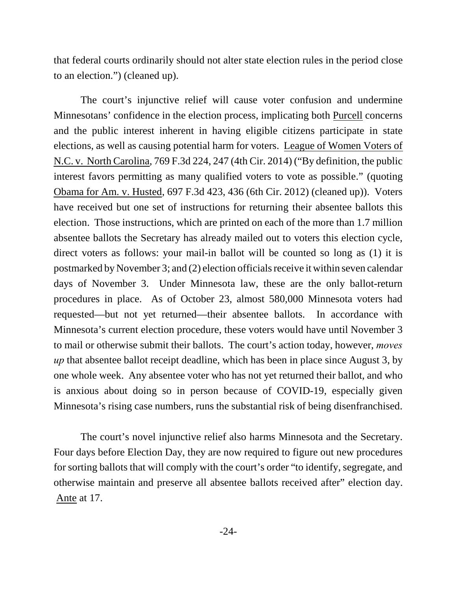that federal courts ordinarily should not alter state election rules in the period close to an election.") (cleaned up).

The court's injunctive relief will cause voter confusion and undermine Minnesotans' confidence in the election process, implicating both Purcell concerns and the public interest inherent in having eligible citizens participate in state elections, as well as causing potential harm for voters. League of Women Voters of N.C. v. North Carolina, 769 F.3d 224, 247 (4th Cir. 2014) ("By definition, the public interest favors permitting as many qualified voters to vote as possible." (quoting Obama for Am. v. Husted, 697 F.3d 423, 436 (6th Cir. 2012) (cleaned up)). Voters have received but one set of instructions for returning their absentee ballots this election. Those instructions, which are printed on each of the more than 1.7 million absentee ballots the Secretary has already mailed out to voters this election cycle, direct voters as follows: your mail-in ballot will be counted so long as (1) it is postmarked by November 3; and (2) election officials receive it within seven calendar days of November 3. Under Minnesota law, these are the only ballot-return procedures in place. As of October 23, almost 580,000 Minnesota voters had requested—but not yet returned—their absentee ballots. In accordance with Minnesota's current election procedure, these voters would have until November 3 to mail or otherwise submit their ballots. The court's action today, however, *moves up* that absentee ballot receipt deadline, which has been in place since August 3, by one whole week. Any absentee voter who has not yet returned their ballot, and who is anxious about doing so in person because of COVID-19, especially given Minnesota's rising case numbers, runs the substantial risk of being disenfranchised.

The court's novel injunctive relief also harms Minnesota and the Secretary. Four days before Election Day, they are now required to figure out new procedures for sorting ballots that will comply with the court's order "to identify, segregate, and otherwise maintain and preserve all absentee ballots received after" election day. Ante at 17.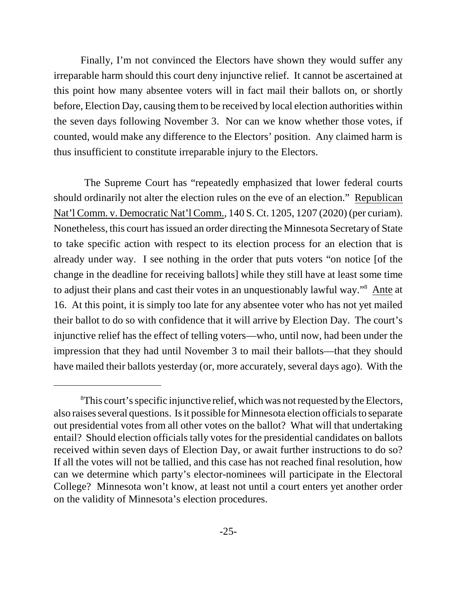Finally, I'm not convinced the Electors have shown they would suffer any irreparable harm should this court deny injunctive relief. It cannot be ascertained at this point how many absentee voters will in fact mail their ballots on, or shortly before, Election Day, causing them to be received by local election authorities within the seven days following November 3. Nor can we know whether those votes, if counted, would make any difference to the Electors' position. Any claimed harm is thus insufficient to constitute irreparable injury to the Electors.

 The Supreme Court has "repeatedly emphasized that lower federal courts should ordinarily not alter the election rules on the eve of an election." Republican Nat'l Comm. v. Democratic Nat'l Comm., 140 S. Ct. 1205, 1207 (2020) (per curiam). Nonetheless, this court has issued an order directing the Minnesota Secretary of State to take specific action with respect to its election process for an election that is already under way. I see nothing in the order that puts voters "on notice [of the change in the deadline for receiving ballots] while they still have at least some time to adjust their plans and cast their votes in an unquestionably lawful way."<sup>8</sup> Ante at 16. At this point, it is simply too late for any absentee voter who has not yet mailed their ballot to do so with confidence that it will arrive by Election Day. The court's injunctive relief has the effect of telling voters—who, until now, had been under the impression that they had until November 3 to mail their ballots—that they should have mailed their ballots yesterday (or, more accurately, several days ago). With the

<sup>&</sup>lt;sup>8</sup>This court's specific injunctive relief, which was not requested by the Electors, also raises several questions. Is it possible for Minnesota election officials to separate out presidential votes from all other votes on the ballot? What will that undertaking entail? Should election officials tally votes for the presidential candidates on ballots received within seven days of Election Day, or await further instructions to do so? If all the votes will not be tallied, and this case has not reached final resolution, how can we determine which party's elector-nominees will participate in the Electoral College? Minnesota won't know, at least not until a court enters yet another order on the validity of Minnesota's election procedures.